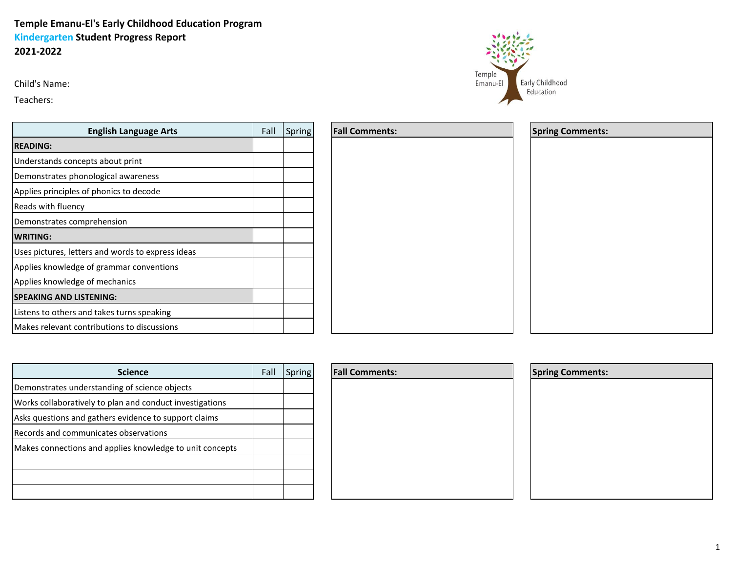## **Temple Emanu-El's Early Childhood Education Program Kindergarten Student Progress Report 2021-2022**

Child's Name:

Teachers:

| <b>English Language Arts</b>                      | Fall | Spring |
|---------------------------------------------------|------|--------|
| <b>READING:</b>                                   |      |        |
| Understands concepts about print                  |      |        |
| Demonstrates phonological awareness               |      |        |
| Applies principles of phonics to decode           |      |        |
| Reads with fluency                                |      |        |
| Demonstrates comprehension                        |      |        |
| <b>WRITING:</b>                                   |      |        |
| Uses pictures, letters and words to express ideas |      |        |
| Applies knowledge of grammar conventions          |      |        |
| Applies knowledge of mechanics                    |      |        |
| <b>SPEAKING AND LISTENING:</b>                    |      |        |
| Listens to others and takes turns speaking        |      |        |
| Makes relevant contributions to discussions       |      |        |

| <b>Science</b>                                           | Fall | Spring |
|----------------------------------------------------------|------|--------|
| Demonstrates understanding of science objects            |      |        |
| Works collaboratively to plan and conduct investigations |      |        |
| Asks questions and gathers evidence to support claims    |      |        |
| Records and communicates observations                    |      |        |
| Makes connections and applies knowledge to unit concepts |      |        |
|                                                          |      |        |
|                                                          |      |        |
|                                                          |      |        |

| <b>Fall Comments:</b> |  |  |
|-----------------------|--|--|
|                       |  |  |
|                       |  |  |
|                       |  |  |
|                       |  |  |
|                       |  |  |
|                       |  |  |
|                       |  |  |
|                       |  |  |
|                       |  |  |
|                       |  |  |
|                       |  |  |
|                       |  |  |
|                       |  |  |



| <b>Spring Comments:</b> |  |  |
|-------------------------|--|--|
|                         |  |  |
|                         |  |  |
|                         |  |  |
|                         |  |  |
|                         |  |  |
|                         |  |  |

## **Fall Comments:**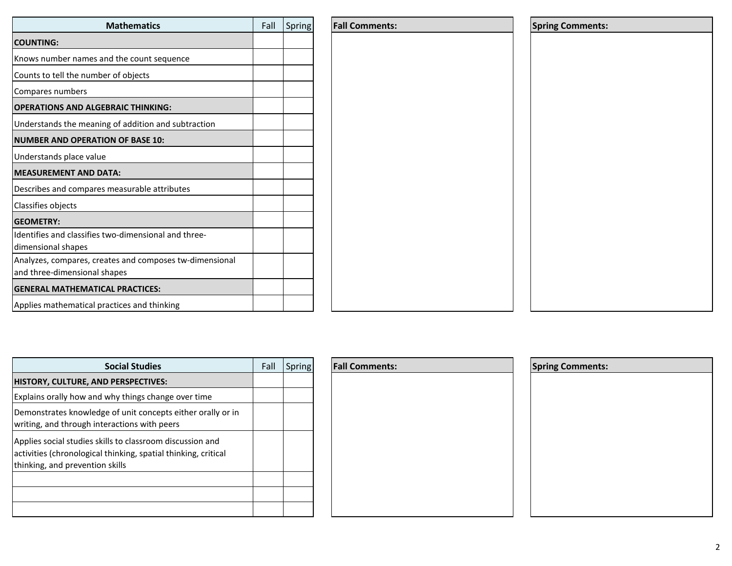| <b>Mathematics</b>                                                                      | Fall | Spring | Fal |
|-----------------------------------------------------------------------------------------|------|--------|-----|
| <b>COUNTING:</b>                                                                        |      |        |     |
| Knows number names and the count sequence                                               |      |        |     |
| Counts to tell the number of objects                                                    |      |        |     |
| Compares numbers                                                                        |      |        |     |
| <b>OPERATIONS AND ALGEBRAIC THINKING:</b>                                               |      |        |     |
| Understands the meaning of addition and subtraction                                     |      |        |     |
| <b>NUMBER AND OPERATION OF BASE 10:</b>                                                 |      |        |     |
| Understands place value                                                                 |      |        |     |
| <b>MEASUREMENT AND DATA:</b>                                                            |      |        |     |
| Describes and compares measurable attributes                                            |      |        |     |
| Classifies objects                                                                      |      |        |     |
| <b>GEOMETRY:</b>                                                                        |      |        |     |
| Identifies and classifies two-dimensional and three-<br>dimensional shapes              |      |        |     |
| Analyzes, compares, creates and composes tw-dimensional<br>and three-dimensional shapes |      |        |     |
| <b>GENERAL MATHEMATICAL PRACTICES:</b>                                                  |      |        |     |
| Applies mathematical practices and thinking                                             |      |        |     |

| <b>Social Studies</b>                                                                                                                                          | Fall | Spring | <b>Fall Comments:</b> | <b>Spring Comments:</b> |
|----------------------------------------------------------------------------------------------------------------------------------------------------------------|------|--------|-----------------------|-------------------------|
| <b>HISTORY, CULTURE, AND PERSPECTIVES:</b>                                                                                                                     |      |        |                       |                         |
| Explains orally how and why things change over time                                                                                                            |      |        |                       |                         |
| Demonstrates knowledge of unit concepts either orally or in<br>writing, and through interactions with peers                                                    |      |        |                       |                         |
| Applies social studies skills to classroom discussion and<br>activities (chronological thinking, spatial thinking, critical<br>thinking, and prevention skills |      |        |                       |                         |
|                                                                                                                                                                |      |        |                       |                         |
|                                                                                                                                                                |      |        |                       |                         |

| <b>Fall Comments:</b> |  |  |
|-----------------------|--|--|
|                       |  |  |
|                       |  |  |
|                       |  |  |
|                       |  |  |
|                       |  |  |
|                       |  |  |
|                       |  |  |
|                       |  |  |
|                       |  |  |

| <b>Spring Comments:</b> |  |  |
|-------------------------|--|--|
|                         |  |  |
|                         |  |  |
|                         |  |  |
|                         |  |  |
|                         |  |  |
|                         |  |  |
|                         |  |  |

| <b>Mathematics</b>                        | Fall | Spring | <b>Fall Comments:</b> | <b>Spring Comments:</b> |
|-------------------------------------------|------|--------|-----------------------|-------------------------|
|                                           |      |        |                       |                         |
| d the count sequence                      |      |        |                       |                         |
| r of objects                              |      |        |                       |                         |
|                                           |      |        |                       |                         |
| <b>BRAIC THINKING:</b>                    |      |        |                       |                         |
| g of addition and subtraction             |      |        |                       |                         |
| ON OF BASE 10:                            |      |        |                       |                         |
|                                           |      |        |                       |                         |
| <b>TA:</b>                                |      |        |                       |                         |
| measurable attributes                     |      |        |                       |                         |
|                                           |      |        |                       |                         |
|                                           |      |        |                       |                         |
| wo-dimensional and three-                 |      |        |                       |                         |
| ates and composes tw-dimensional<br>hapes |      |        |                       |                         |
|                                           |      |        |                       |                         |